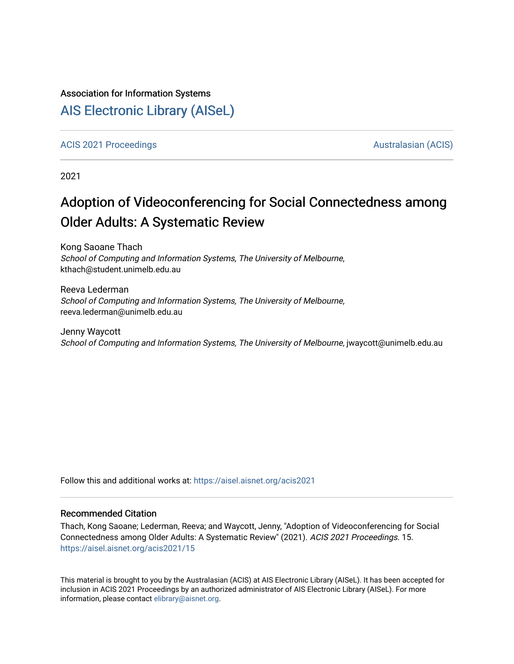#### Association for Information Systems

# [AIS Electronic Library \(AISeL\)](https://aisel.aisnet.org/)

[ACIS 2021 Proceedings](https://aisel.aisnet.org/acis2021) [Australasian \(ACIS\)](https://aisel.aisnet.org/acis) Australasian (ACIS)

2021

# Adoption of Videoconferencing for Social Connectedness among Older Adults: A Systematic Review

Kong Saoane Thach School of Computing and Information Systems, The University of Melbourne, kthach@student.unimelb.edu.au

Reeva Lederman School of Computing and Information Systems, The University of Melbourne, reeva.lederman@unimelb.edu.au

Jenny Waycott School of Computing and Information Systems, The University of Melbourne, jwaycott@unimelb.edu.au

Follow this and additional works at: [https://aisel.aisnet.org/acis2021](https://aisel.aisnet.org/acis2021?utm_source=aisel.aisnet.org%2Facis2021%2F15&utm_medium=PDF&utm_campaign=PDFCoverPages) 

#### Recommended Citation

Thach, Kong Saoane; Lederman, Reeva; and Waycott, Jenny, "Adoption of Videoconferencing for Social Connectedness among Older Adults: A Systematic Review" (2021). ACIS 2021 Proceedings. 15. [https://aisel.aisnet.org/acis2021/15](https://aisel.aisnet.org/acis2021/15?utm_source=aisel.aisnet.org%2Facis2021%2F15&utm_medium=PDF&utm_campaign=PDFCoverPages)

This material is brought to you by the Australasian (ACIS) at AIS Electronic Library (AISeL). It has been accepted for inclusion in ACIS 2021 Proceedings by an authorized administrator of AIS Electronic Library (AISeL). For more information, please contact [elibrary@aisnet.org.](mailto:elibrary@aisnet.org%3E)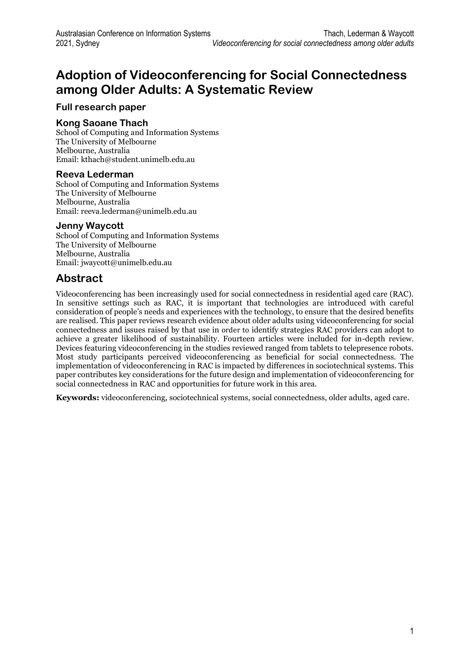# **Adoption of Videoconferencing for Social Connectedness among Older Adults: A Systematic Review**

### **Full research paper**

#### **Kong Saoane Thach**

School of Computing and Information Systems The University of Melbourne Melbourne, Australia Email: kthach@student.unimelb.edu.au

#### **Reeva Lederman**

School of Computing and Information Systems The University of Melbourne Melbourne, Australia Email: reeva.lederman@unimelb.edu.au

#### **Jenny Waycott**

School of Computing and Information Systems The University of Melbourne Melbourne, Australia Email: jwaycott@unimelb.edu.au

## **Abstract**

Videoconferencing has been increasingly used for social connectedness in residential aged care (RAC). In sensitive settings such as RAC, it is important that technologies are introduced with careful consideration of people's needs and experiences with the technology, to ensure that the desired benefits are realised. This paper reviews research evidence about older adults using videoconferencing for social connectedness and issues raised by that use in order to identify strategies RAC providers can adopt to achieve a greater likelihood of sustainability. Fourteen articles were included for in-depth review. Devices featuring videoconferencing in the studies reviewed ranged from tablets to telepresence robots. Most study participants perceived videoconferencing as beneficial for social connectedness. The implementation of videoconferencing in RAC is impacted by differences in sociotechnical systems. This paper contributes key considerations for the future design and implementation of videoconferencing for social connectedness in RAC and opportunities for future work in this area.

**Keywords:** videoconferencing, sociotechnical systems, social connectedness, older adults, aged care.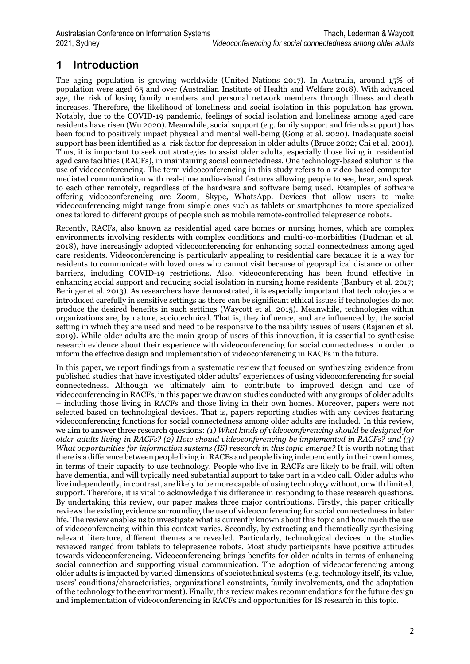# **1 Introduction**

The aging population is growing worldwide (United Nations 2017). In Australia, around 15% of population were aged 65 and over (Australian Institute of Health and Welfare 2018). With advanced age, the risk of losing family members and personal network members through illness and death increases. Therefore, the likelihood of loneliness and social isolation in this population has grown. Notably, due to the COVID-19 pandemic, feelings of social isolation and loneliness among aged care residents have risen (Wu 2020). Meanwhile, social support (e.g. family support and friends support) has been found to positively impact physical and mental well-being (Gong et al. 2020). Inadequate social support has been identified as a risk factor for depression in older adults (Bruce 2002; Chi et al. 2001). Thus, it is important to seek out strategies to assist older adults, especially those living in residential aged care facilities (RACFs), in maintaining social connectedness. One technology-based solution is the use of videoconferencing. The term videoconferencing in this study refers to a video-based computermediated communication with real-time audio-visual features allowing people to see, hear, and speak to each other remotely, regardless of the hardware and software being used. Examples of software offering videoconferencing are Zoom, Skype, WhatsApp. Devices that allow users to make videoconferencing might range from simple ones such as tablets or smartphones to more specialized ones tailored to different groups of people such as mobile remote-controlled telepresence robots.

Recently, RACFs, also known as residential aged care homes or nursing homes, which are complex environments involving residents with complex conditions and multi-co-morbidities (Dudman et al. 2018), have increasingly adopted videoconferencing for enhancing social connectedness among aged care residents. Videoconferencing is particularly appealing to residential care because it is a way for residents to communicate with loved ones who cannot visit because of geographical distance or other barriers, including COVID-19 restrictions. Also, videoconferencing has been found effective in enhancing social support and reducing social isolation in nursing home residents (Banbury et al. 2017; Beringer et al. 2013). As researchers have demonstrated, it is especially important that technologies are introduced carefully in sensitive settings as there can be significant ethical issues if technologies do not produce the desired benefits in such settings (Waycott et al. 2015). Meanwhile, technologies within organizations are, by nature, sociotechnical. That is, they influence, and are influenced by, the social setting in which they are used and need to be responsive to the usability issues of users (Rajanen et al. 2019). While older adults are the main group of users of this innovation, it is essential to synthesise research evidence about their experience with videoconferencing for social connectedness in order to inform the effective design and implementation of videoconferencing in RACFs in the future.

In this paper, we report findings from a systematic review that focused on synthesizing evidence from published studies that have investigated older adults' experiences of using videoconferencing for social connectedness. Although we ultimately aim to contribute to improved design and use of videoconferencing in RACFs, in this paper we draw on studies conducted with any groups of older adults – including those living in RACFs and those living in their own homes. Moreover, papers were not selected based on technological devices. That is, papers reporting studies with any devices featuring videoconferencing functions for social connectedness among older adults are included. In this review, we aim to answer three research questions: *(1) What kinds of videoconferencing should be designed for older adults living in RACFs? (2) How should videoconferencing be implemented in RACFs? and (3) What opportunities for information systems (IS) research in this topic emerge?* It is worth noting that there is a difference between people living in RACFs and people living independently in their own homes, in terms of their capacity to use technology. People who live in RACFs are likely to be frail, will often have dementia, and will typically need substantial support to take part in a video call. Older adults who live independently, in contrast, are likely to be more capable of using technology without, or with limited, support. Therefore, it is vital to acknowledge this difference in responding to these research questions. By undertaking this review, our paper makes three major contributions. Firstly, this paper critically reviews the existing evidence surrounding the use of videoconferencing for social connectedness in later life. The review enables us to investigate what is currently known about this topic and how much the use of videoconferencing within this context varies. Secondly, by extracting and thematically synthesizing relevant literature, different themes are revealed. Particularly, technological devices in the studies reviewed ranged from tablets to telepresence robots. Most study participants have positive attitudes towards videoconferencing. Videoconferencing brings benefits for older adults in terms of enhancing social connection and supporting visual communication. The adoption of videoconferencing among older adults is impacted by varied dimensions of sociotechnical systems (e.g. technology itself, its value, users' conditions/characteristics, organizational constraints, family involvements, and the adaptation of the technology to the environment). Finally, this review makes recommendations for the future design and implementation of videoconferencing in RACFs and opportunities for IS research in this topic.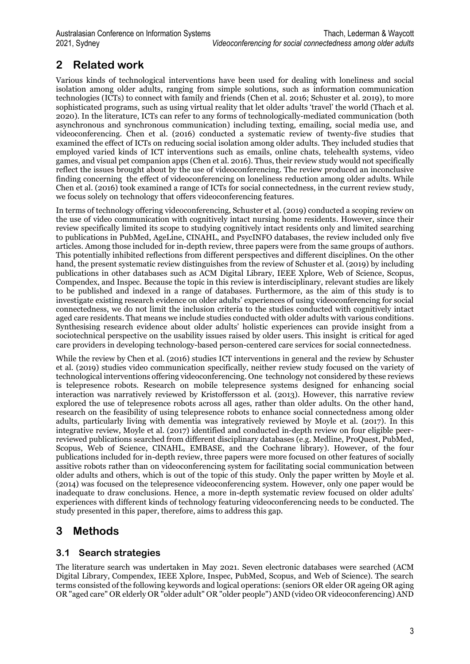# **2 Related work**

Various kinds of technological interventions have been used for dealing with loneliness and social isolation among older adults, ranging from simple solutions, such as information communication technologies (ICTs) to connect with family and friends (Chen et al. 2016; Schuster et al. 2019), to more sophisticated programs, such as using virtual reality that let older adults 'travel' the world (Thach et al. 2020). In the literature, ICTs can refer to any forms of technologically-mediated communication (both asynchronous and synchronous communication) including texting, emailing, social media use, and videoconferencing. Chen et al. (2016) conducted a systematic review of twenty-five studies that examined the effect of ICTs on reducing social isolation among older adults. They included studies that employed varied kinds of ICT interventions such as emails, online chats, telehealth systems, video games, and visual pet companion apps (Chen et al. 2016). Thus, their review study would not specifically reflect the issues brought about by the use of videoconferencing. The review produced an inconclusive finding concerning the effect of videoconferencing on loneliness reduction among older adults. While Chen et al. (2016) took examined a range of ICTs for social connectedness, in the current review study, we focus solely on technology that offers videoconferencing features.

In terms of technology offering videoconferencing, Schuster et al. (2019) conducted a scoping review on the use of video communication with cognitively intact nursing home residents. However, since their review specifically limited its scope to studying cognitively intact residents only and limited searching to publications in PubMed, AgeLine, CINAHL, and PsycINFO databases, the review included only five articles. Among those included for in-depth review, three papers were from the same groups of authors. This potentially inhibited reflections from different perspectives and different disciplines. On the other hand, the present systematic review distinguishes from the review of Schuster et al. (2019) by including publications in other databases such as ACM Digital Library, IEEE Xplore, Web of Science, Scopus, Compendex, and Inspec. Because the topic in this review is interdisciplinary, relevant studies are likely to be published and indexed in a range of databases. Furthermore, as the aim of this study is to investigate existing research evidence on older adults' experiences of using videoconferencing for social connectedness, we do not limit the inclusion criteria to the studies conducted with cognitively intact aged care residents. That means we include studies conducted with older adults with various conditions. Synthesising research evidence about older adults' holistic experiences can provide insight from a sociotechnical perspective on the usability issues raised by older users. This insight is critical for aged care providers in developing technology-based person-centered care services for social connectedness.

While the review by Chen et al. (2016) studies ICT interventions in general and the review by Schuster et al. (2019) studies video communication specifically, neither review study focused on the variety of technological interventions offering videoconferencing. One technology not considered by these reviews is telepresence robots. Research on mobile telepresence systems designed for enhancing social interaction was narratively reviewed by Kristoffersson et al. (2013). However, this narrative review explored the use of telepresence robots across all ages, rather than older adults. On the other hand, research on the feasibility of using telepresence robots to enhance social connectedness among older adults, particularly living with dementia was integratively reviewed by Moyle et al. (2017). In this integrative review, Moyle et al. (2017) identified and conducted in-depth review on four eligible peerreviewed publications searched from different disciplinary databases (e.g. Medline, ProQuest, PubMed, Scopus, Web of Science, CINAHL, EMBASE, and the Cochrane library). However, of the four publications included for in-depth review, three papers were more focused on other features of socially assitive robots rather than on videoconferencing system for facilitating social communication between older adults and others, which is out of the topic of this study. Only the paper written by Moyle et al. (2014) was focused on the telepresence videoconferencing system. However, only one paper would be inadequate to draw conclusions. Hence, a more in-depth systematic review focused on older adults' experiences with different kinds of technology featuring videoconferencing needs to be conducted. The study presented in this paper, therefore, aims to address this gap.

# **3 Methods**

### **3.1 Search strategies**

The literature search was undertaken in May 2021. Seven electronic databases were searched (ACM Digital Library, Compendex, IEEE Xplore, Inspec, PubMed, Scopus, and Web of Science). The search terms consisted of the following keywords and logical operations: (seniors OR elder OR ageing OR aging OR "aged care" OR elderly OR "older adult" OR "older people") AND (video OR videoconferencing) AND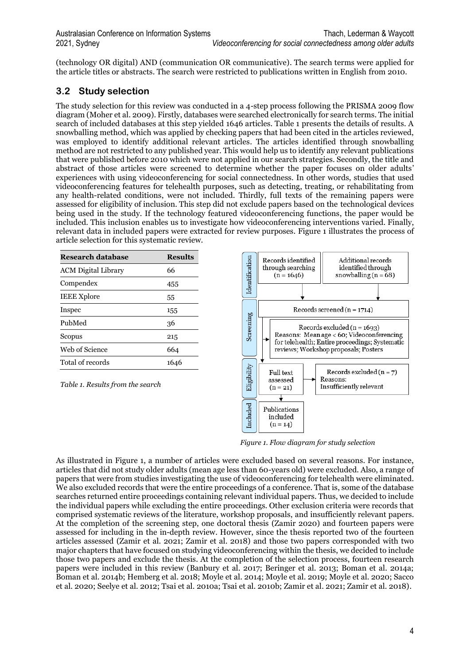(technology OR digital) AND (communication OR communicative). The search terms were applied for the article titles or abstracts. The search were restricted to publications written in English from 2010.

### **3.2 Study selection**

The study selection for this review was conducted in a 4-step process following the PRISMA 2009 flow diagram (Moher et al. 2009). Firstly, databases were searched electronically for search terms. The initial search of included databases at this step yielded 1646 articles. Table 1 presents the details of results. A snowballing method, which was applied by checking papers that had been cited in the articles reviewed, was employed to identify additional relevant articles. The articles identified through snowballing method are not restricted to any published year. This would help us to identify any relevant publications that were published before 2010 which were not applied in our search strategies. Secondly, the title and abstract of those articles were screened to determine whether the paper focuses on older adults' experiences with using videoconferencing for social connectedness. In other words, studies that used videoconferencing features for telehealth purposes, such as detecting, treating, or rehabilitating from any health-related conditions, were not included. Thirdly, full texts of the remaining papers were assessed for eligibility of inclusion. This step did not exclude papers based on the technological devices being used in the study. If the technology featured videoconferencing functions, the paper would be included. This inclusion enables us to investigate how videoconferencing interventions varied. Finally, relevant data in included papers were extracted for review purposes. Figure 1 illustrates the process of article selection for this systematic review.

| Research database          | <b>Results</b> |
|----------------------------|----------------|
| <b>ACM Digital Library</b> | 66             |
| Compendex                  | 455            |
| <b>IEEE Xplore</b>         | 55             |
| Inspec                     | 155            |
| PubMed                     | 36             |
| Scopus                     | 215            |
| Web of Science             | 664            |
| Total of records           | 1646           |

*Table 1. Results from the search*



*Figure 1. Flow diagram for study selection*

As illustrated in Figure 1, a number of articles were excluded based on several reasons. For instance, articles that did not study older adults (mean age less than 60-years old) were excluded. Also, a range of papers that were from studies investigating the use of videoconferencing for telehealth were eliminated. We also excluded records that were the entire proceedings of a conference. That is, some of the database searches returned entire proceedings containing relevant individual papers. Thus, we decided to include the individual papers while excluding the entire proceedings. Other exclusion criteria were records that comprised systematic reviews of the literature, workshop proposals, and insufficiently relevant papers. At the completion of the screening step, one doctoral thesis (Zamir 2020) and fourteen papers were assessed for including in the in-depth review. However, since the thesis reported two of the fourteen articles assessed (Zamir et al. 2021; Zamir et al. 2018) and those two papers corresponded with two major chapters that have focused on studying videoconferencing within the thesis, we decided to include those two papers and exclude the thesis. At the completion of the selection process, fourteen research papers were included in this review (Banbury et al. 2017; Beringer et al. 2013; Boman et al. 2014a; Boman et al. 2014b; Hemberg et al. 2018; Moyle et al. 2014; Moyle et al. 2019; Moyle et al. 2020; Sacco et al. 2020; Seelye et al. 2012; Tsai et al. 2010a; Tsai et al. 2010b; Zamir et al. 2021; Zamir et al. 2018).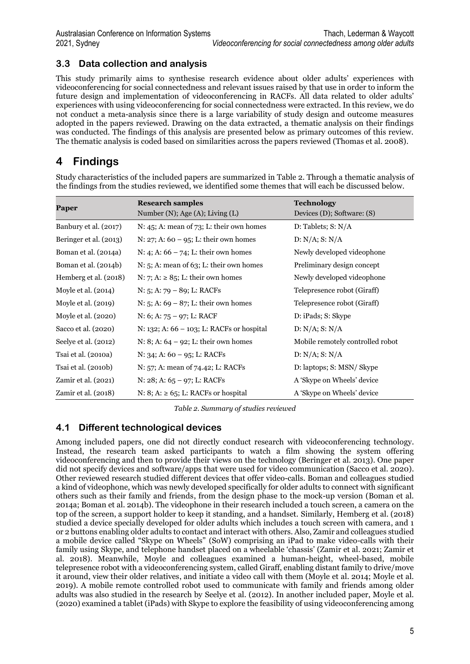### **3.3 Data collection and analysis**

This study primarily aims to synthesise research evidence about older adults' experiences with videoconferencing for social connectedness and relevant issues raised by that use in order to inform the future design and implementation of videoconferencing in RACFs. All data related to older adults' experiences with using videoconferencing for social connectedness were extracted. In this review, we do not conduct a meta-analysis since there is a large variability of study design and outcome measures adopted in the papers reviewed. Drawing on the data extracted, a thematic analysis on their findings was conducted. The findings of this analysis are presented below as primary outcomes of this review. The thematic analysis is coded based on similarities across the papers reviewed (Thomas et al. 2008).

## **4 Findings**

Study characteristics of the included papers are summarized in Table 2. Through a thematic analysis of the findings from the studies reviewed, we identified some themes that will each be discussed below.

| Paper                  | <b>Research samples</b><br>Number (N); Age (A); Living $(L)$ | <b>Technology</b><br>Devices (D); Software: (S) |
|------------------------|--------------------------------------------------------------|-------------------------------------------------|
| Banbury et al. (2017)  | N: 45; A: mean of 73; L: their own homes                     | D: Tables; S: N/A                               |
| Beringer et al. (2013) | N: 27; A: $60 - 95$ ; L: their own homes                     | $D: N/A$ ; S: $N/A$                             |
| Boman et al. (2014a)   | N: 4; A: $66 - 74$ ; L: their own homes                      | Newly developed videophone                      |
| Boman et al. (2014b)   | $N: 5$ ; A: mean of 63; L: their own homes                   | Preliminary design concept                      |
| Hemberg et al. (2018)  | N: 7; A: $\geq$ 85; L: their own homes                       | Newly developed videophone                      |
| Moyle et al. (2014)    | $N: 5; A: 79 - 89; L: RACFs$                                 | Telepresence robot (Giraff)                     |
| Moyle et al. (2019)    | N: 5; A: $69 - 87$ ; L: their own homes                      | Telepresence robot (Giraff)                     |
| Moyle et al. (2020)    | N: 6; A: $75 - 97$ ; L: RACF                                 | D: iPads; S: Skype                              |
| Sacco et al. (2020)    | N: 132; A: $66 - 103$ ; L: RACFs or hospital                 | $D: N/A$ ; S: $N/A$                             |
| Seelye et al. (2012)   | N: 8; A: $64 - 92$ ; L: their own homes                      | Mobile remotely controlled robot                |
| Tsai et al. (2010a)    | N: 34; A: $60 - 95$ ; L: RACFs                               | D: N/A; S: N/A                                  |
| Tsai et al. (2010b)    | N: 57; A: mean of 74.42; L: RACFs                            | D: laptops; S: MSN/ Skype                       |
| Zamir et al. (2021)    | N: $28; A: 65 - 97; L: RACFs$                                | A 'Skype on Wheels' device                      |
| Zamir et al. (2018)    | N: 8; A: $\ge$ 65; L: RACFs or hospital                      | A 'Skype on Wheels' device                      |

*Table 2. Summary of studies reviewed*

### **4.1 Different technological devices**

Among included papers, one did not directly conduct research with videoconferencing technology. Instead, the research team asked participants to watch a film showing the system offering videoconferencing and then to provide their views on the technology (Beringer et al. 2013). One paper did not specify devices and software/apps that were used for video communication (Sacco et al. 2020). Other reviewed research studied different devices that offer video-calls. Boman and colleagues studied a kind of videophone, which was newly developed specifically for older adults to connect with significant others such as their family and friends, from the design phase to the mock-up version (Boman et al. 2014a; Boman et al. 2014b). The videophone in their research included a touch screen, a camera on the top of the screen, a support holder to keep it standing, and a handset. Similarly, Hemberg et al. (2018) studied a device specially developed for older adults which includes a touch screen with camera, and 1 or 2 buttons enabling older adults to contact and interact with others. Also, Zamir and colleagues studied a mobile device called "Skype on Wheels" (SoW) comprising an iPad to make video-calls with their family using Skype, and telephone handset placed on a wheelable 'chassis' (Zamir et al. 2021; Zamir et al. 2018). Meanwhile, Moyle and colleagues examined a human-height, wheel-based, mobile telepresence robot with a videoconferencing system, called Giraff, enabling distant family to drive/move it around, view their older relatives, and initiate a video call with them (Moyle et al. 2014; Moyle et al. 2019). A mobile remote controlled robot used to communicate with family and friends among older adults was also studied in the research by Seelye et al. (2012). In another included paper, Moyle et al. (2020) examined a tablet (iPads) with Skype to explore the feasibility of using videoconferencing among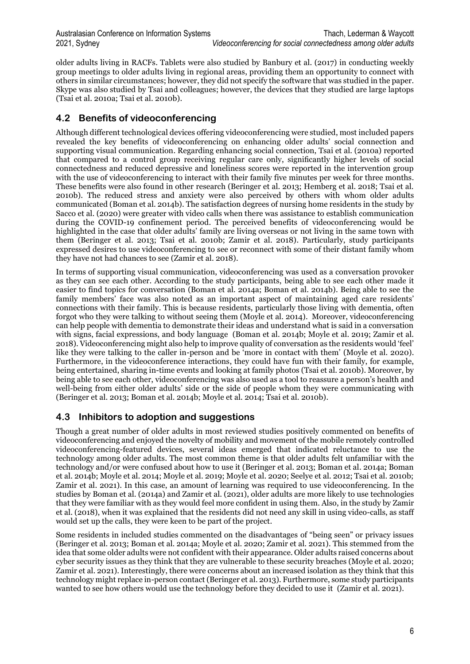older adults living in RACFs. Tablets were also studied by Banbury et al. (2017) in conducting weekly group meetings to older adults living in regional areas, providing them an opportunity to connect with others in similar circumstances; however, they did not specify the software that was studied in the paper. Skype was also studied by Tsai and colleagues; however, the devices that they studied are large laptops (Tsai et al. 2010a; Tsai et al. 2010b).

### **4.2 Benefits of videoconferencing**

Although different technological devices offering videoconferencing were studied, most included papers revealed the key benefits of videoconferencing on enhancing older adults' social connection and supporting visual communication. Regarding enhancing social connection, Tsai et al. (2010a) reported that compared to a control group receiving regular care only, significantly higher levels of social connectedness and reduced depressive and loneliness scores were reported in the intervention group with the use of videoconferencing to interact with their family five minutes per week for three months. These benefits were also found in other research (Beringer et al. 2013; Hemberg et al. 2018; Tsai et al. 2010b). The reduced stress and anxiety were also perceived by others with whom older adults communicated (Boman et al. 2014b). The satisfaction degrees of nursing home residents in the study by Sacco et al. (2020) were greater with video calls when there was assistance to establish communication during the COVID-19 confinement period. The perceived benefits of videoconferencing would be highlighted in the case that older adults' family are living overseas or not living in the same town with them (Beringer et al. 2013; Tsai et al. 2010b; Zamir et al. 2018). Particularly, study participants expressed desires to use videoconferencing to see or reconnect with some of their distant family whom they have not had chances to see (Zamir et al. 2018).

In terms of supporting visual communication, videoconferencing was used as a conversation provoker as they can see each other. According to the study participants, being able to see each other made it easier to find topics for conversation (Boman et al. 2014a; Boman et al. 2014b). Being able to see the family members' face was also noted as an important aspect of maintaining aged care residents' connections with their family. This is because residents, particularly those living with dementia, often forgot who they were talking to without seeing them (Moyle et al. 2014). Moreover, videoconferencing can help people with dementia to demonstrate their ideas and understand what is said in a conversation with signs, facial expressions, and body language (Boman et al. 2014b; Moyle et al. 2019; Zamir et al. 2018). Videoconferencing might also help to improve quality of conversation as the residents would 'feel' like they were talking to the caller in-person and be 'more in contact with them' (Moyle et al. 2020). Furthermore, in the videoconference interactions, they could have fun with their family, for example, being entertained, sharing in-time events and looking at family photos (Tsai et al. 2010b). Moreover, by being able to see each other, videoconferencing was also used as a tool to reassure a person's health and well-being from either older adults' side or the side of people whom they were communicating with (Beringer et al. 2013; Boman et al. 2014b; Moyle et al. 2014; Tsai et al. 2010b).

### **4.3 Inhibitors to adoption and suggestions**

Though a great number of older adults in most reviewed studies positively commented on benefits of videoconferencing and enjoyed the novelty of mobility and movement of the mobile remotely controlled videoconferencing-featured devices, several ideas emerged that indicated reluctance to use the technology among older adults. The most common theme is that older adults felt unfamiliar with the technology and/or were confused about how to use it (Beringer et al. 2013; Boman et al. 2014a; Boman et al. 2014b; Moyle et al. 2014; Moyle et al. 2019; Moyle et al. 2020; Seelye et al. 2012; Tsai et al. 2010b; Zamir et al. 2021). In this case, an amount of learning was required to use videoconferencing. In the studies by Boman et al. (2014a) and Zamir et al. (2021), older adults are more likely to use technologies that they were familiar with as they would feel more confident in using them. Also, in the study by Zamir et al. (2018), when it was explained that the residents did not need any skill in using video-calls, as staff would set up the calls, they were keen to be part of the project.

Some residents in included studies commented on the disadvantages of "being seen" or privacy issues (Beringer et al. 2013; Boman et al. 2014a; Moyle et al. 2020; Zamir et al. 2021). This stemmed from the idea that some older adults were not confident with their appearance. Older adults raised concerns about cyber security issues as they think that they are vulnerable to these security breaches (Moyle et al. 2020; Zamir et al. 2021). Interestingly, there were concerns about an increased isolation as they think that this technology might replace in-person contact (Beringer et al. 2013). Furthermore, some study participants wanted to see how others would use the technology before they decided to use it (Zamir et al. 2021).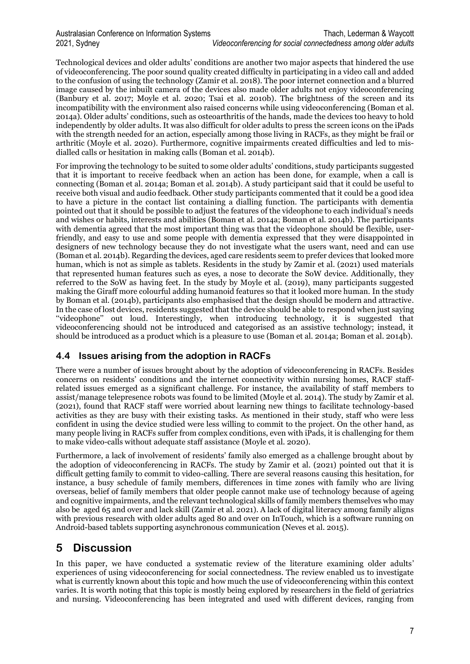Technological devices and older adults' conditions are another two major aspects that hindered the use of videoconferencing. The poor sound quality created difficulty in participating in a video call and added to the confusion of using the technology (Zamir et al. 2018). The poor internet connection and a blurred image caused by the inbuilt camera of the devices also made older adults not enjoy videoconferencing (Banbury et al. 2017; Moyle et al. 2020; Tsai et al. 2010b). The brightness of the screen and its incompatibility with the environment also raised concerns while using videoconferencing (Boman et al. 2014a). Older adults' conditions, such as osteoarthritis of the hands, made the devices too heavy to hold independently by older adults. It was also difficult for older adults to press the screen icons on the iPads with the strength needed for an action, especially among those living in RACFs, as they might be frail or arthritic (Moyle et al. 2020). Furthermore, cognitive impairments created difficulties and led to misdialled calls or hesitation in making calls (Boman et al. 2014b).

For improving the technology to be suited to some older adults' conditions, study participants suggested that it is important to receive feedback when an action has been done, for example, when a call is connecting (Boman et al. 2014a; Boman et al. 2014b). A study participant said that it could be useful to receive both visual and audio feedback. Other study participants commented that it could be a good idea to have a picture in the contact list containing a dialling function. The participants with dementia pointed out that it should be possible to adjust the features of the videophone to each individual's needs and wishes or habits, interests and abilities (Boman et al. 2014a; Boman et al. 2014b). The participants with dementia agreed that the most important thing was that the videophone should be flexible, userfriendly, and easy to use and some people with dementia expressed that they were disappointed in designers of new technology because they do not investigate what the users want, need and can use (Boman et al. 2014b). Regarding the devices, aged care residents seem to prefer devices that looked more human, which is not as simple as tablets. Residents in the study by Zamir et al. (2021) used materials that represented human features such as eyes, a nose to decorate the SoW device. Additionally, they referred to the SoW as having feet. In the study by Moyle et al. (2019), many participants suggested making the Giraff more colourful adding humanoid features so that it looked more human. In the study by Boman et al. (2014b), participants also emphasised that the design should be modern and attractive. In the case of lost devices, residents suggested that the device should be able to respond when just saying "videophone" out loud. Interestingly, when introducing technology, it is suggested that videoconferencing should not be introduced and categorised as an assistive technology; instead, it should be introduced as a product which is a pleasure to use (Boman et al. 2014a; Boman et al. 2014b).

### **4.4 Issues arising from the adoption in RACFs**

There were a number of issues brought about by the adoption of videoconferencing in RACFs. Besides concerns on residents' conditions and the internet connectivity within nursing homes, RACF staffrelated issues emerged as a significant challenge. For instance, the availability of staff members to assist/manage telepresence robots was found to be limited (Moyle et al. 2014). The study by Zamir et al. (2021), found that RACF staff were worried about learning new things to facilitate technology-based activities as they are busy with their existing tasks. As mentioned in their study, staff who were less confident in using the device studied were less willing to commit to the project. On the other hand, as many people living in RACFs suffer from complex conditions, even with iPads, it is challenging for them to make video-calls without adequate staff assistance (Moyle et al. 2020).

Furthermore, a lack of involvement of residents' family also emerged as a challenge brought about by the adoption of videoconferencing in RACFs. The study by Zamir et al. (2021) pointed out that it is difficult getting family to commit to video-calling. There are several reasons causing this hesitation, for instance, a busy schedule of family members, differences in time zones with family who are living overseas, belief of family members that older people cannot make use of technology because of ageing and cognitive impairments, and the relevant technological skills of family members themselves who may also be aged 65 and over and lack skill (Zamir et al. 2021). A lack of digital literacy among family aligns with previous research with older adults aged 80 and over on InTouch, which is a software running on Android-based tablets supporting asynchronous communication (Neves et al. 2015).

# **5 Discussion**

In this paper, we have conducted a systematic review of the literature examining older adults' experiences of using videoconferencing for social connectedness. The review enabled us to investigate what is currently known about this topic and how much the use of videoconferencing within this context varies. It is worth noting that this topic is mostly being explored by researchers in the field of geriatrics and nursing. Videoconferencing has been integrated and used with different devices, ranging from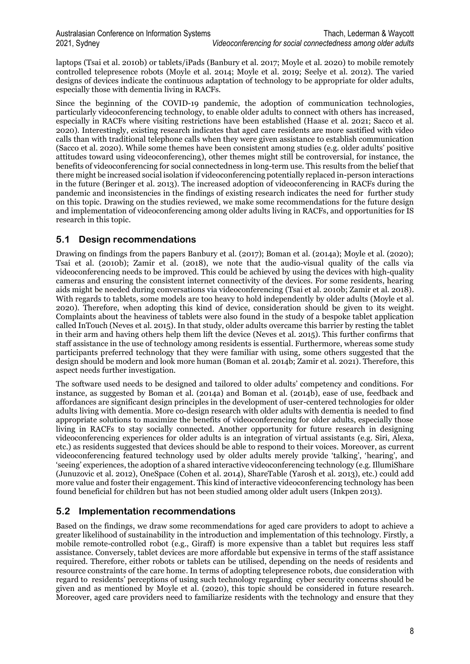laptops (Tsai et al. 2010b) or tablets/iPads (Banbury et al. 2017; Moyle et al. 2020) to mobile remotely controlled telepresence robots (Moyle et al. 2014; Moyle et al. 2019; Seelye et al. 2012). The varied designs of devices indicate the continuous adaptation of technology to be appropriate for older adults, especially those with dementia living in RACFs.

Since the beginning of the COVID-19 pandemic, the adoption of communication technologies, particularly videoconferencing technology, to enable older adults to connect with others has increased, especially in RACFs where visiting restrictions have been established (Haase et al. 2021; Sacco et al. 2020). Interestingly, existing research indicates that aged care residents are more sastified with video calls than with traditional telephone calls when they were given assistance to establish communication (Sacco et al. 2020). While some themes have been consistent among studies (e.g. older adults' positive attitudes toward using videoconferencing), other themes might still be controversial, for instance, the benefits of videoconferencing for social connectedness in long-term use. This results from the belief that there might be increased social isolation if videoconferencing potentially replaced in-person interactions in the future (Beringer et al. 2013). The increased adoption of videoconferencing in RACFs during the pandemic and inconsistencies in the findings of existing research indicates the need for further study on this topic. Drawing on the studies reviewed, we make some recommendations for the future design and implementation of videoconferencing among older adults living in RACFs, and opportunities for IS research in this topic.

#### **5.1 Design recommendations**

Drawing on findings from the papers Banbury et al. (2017); Boman et al. (2014a); Moyle et al. (2020); Tsai et al. (2010b); Zamir et al. (2018), we note that the audio-visual quality of the calls via videoconferencing needs to be improved. This could be achieved by using the devices with high-quality cameras and ensuring the consistent internet connectivity of the devices. For some residents, hearing aids might be needed during conversations via videoconferencing (Tsai et al. 2010b; Zamir et al. 2018). With regards to tablets, some models are too heavy to hold independently by older adults (Moyle et al. 2020). Therefore, when adopting this kind of device, consideration should be given to its weight. Complaints about the heaviness of tablets were also found in the study of a bespoke tablet application called InTouch (Neves et al. 2015). In that study, older adults overcame this barrier by resting the tablet in their arm and having others help them lift the device (Neves et al. 2015). This further confirms that staff assistance in the use of technology among residents is essential. Furthermore, whereas some study participants preferred technology that they were familiar with using, some others suggested that the design should be modern and look more human (Boman et al. 2014b; Zamir et al. 2021). Therefore, this aspect needs further investigation.

The software used needs to be designed and tailored to older adults' competency and conditions. For instance, as suggested by Boman et al. (2014a) and Boman et al. (2014b), ease of use, feedback and affordances are significant design principles in the development of user-centered technologies for older adults living with dementia. More co-design research with older adults with dementia is needed to find appropriate solutions to maximize the benefits of videoconferencing for older adults, especially those living in RACFs to stay socially connected. Another opportunity for future research in designing videoconferencing experiences for older adults is an integration of virtual assistants (e.g. Siri, Alexa, etc.) as residents suggested that devices should be able to respond to their voices. Moreover, as current videoconferencing featured technology used by older adults merely provide 'talking', 'hearing', and 'seeing' experiences, the adoption of a shared interactive videoconferencing technology (e.g. IllumiShare (Junuzovic et al. 2012), OneSpace (Cohen et al. 2014), ShareTable (Yarosh et al. 2013), etc.) could add more value and foster their engagement. This kind of interactive videoconferencing technology has been found beneficial for children but has not been studied among older adult users (Inkpen 2013).

### **5.2 Implementation recommendations**

Based on the findings, we draw some recommendations for aged care providers to adopt to achieve a greater likelihood of sustainability in the introduction and implementation of this technology. Firstly, a mobile remote-controlled robot (e.g., Giraff) is more expensive than a tablet but requires less staff assistance. Conversely, tablet devices are more affordable but expensive in terms of the staff assistance required. Therefore, either robots or tablets can be utilised, depending on the needs of residents and resource constraints of the care home. In terms of adopting telepresence robots, due consideration with regard to residents' perceptions of using such technology regarding cyber security concerns should be given and as mentioned by Moyle et al. (2020), this topic should be considered in future research. Moreover, aged care providers need to familiarize residents with the technology and ensure that they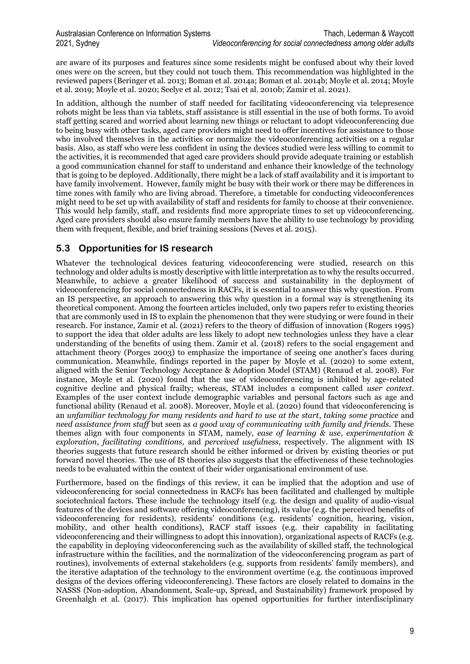are aware of its purposes and features since some residents might be confused about why their loved ones were on the screen, but they could not touch them. This recommendation was highlighted in the reviewed papers (Beringer et al. 2013; Boman et al. 2014a; Boman et al. 2014b; Moyle et al. 2014; Moyle et al. 2019; Moyle et al. 2020; Seelye et al. 2012; Tsai et al. 2010b; Zamir et al. 2021).

In addition, although the number of staff needed for facilitating videoconferencing via telepresence robots might be less than via tablets, staff assistance is still essential in the use of both forms. To avoid staff getting scared and worried about learning new things or reluctant to adopt videoconferencing due to being busy with other tasks, aged care providers might need to offer incentives for assistance to those who involved themselves in the activities or normalize the videoconferencing activities on a regular basis. Also, as staff who were less confident in using the devices studied were less willing to commit to the activities, it is recommended that aged care providers should provide adequate training or establish a good communication channel for staff to understand and enhance their knowledge of the technology that is going to be deployed. Additionally, there might be a lack of staff availability and it is important to have family involvement. However, family might be busy with their work or there may be differences in time zones with family who are living abroad. Therefore, a timetable for conducting videoconferences might need to be set up with availability of staff and residents for family to choose at their convenience. This would help family, staff, and residents find more appropriate times to set up videoconferencing. Aged care providers should also ensure family members have the ability to use technology by providing them with frequent, flexible, and brief training sessions (Neves et al. 2015).

### **5.3 Opportunities for IS research**

Whatever the technological devices featuring videoconferencing were studied, research on this technology and older adults is mostly descriptive with little interpretation as to why the results occurred. Meanwhile, to achieve a greater likelihood of success and sustainability in the deployment of videoconferencing for social connectedness in RACFs, it is essential to answer this why question. From an IS perspective, an approach to answering this why question in a formal way is strengthening its theoretical component. Among the fourteen articles included, only two papers refer to existing theories that are commonly used in IS to explain the phenomenon that they were studying or were found in their research. For instance, Zamir et al. (2021) refers to the theory of diffusion of innovation (Rogers 1995) to support the idea that older adults are less likely to adopt new technologies unless they have a clear understanding of the benefits of using them. Zamir et al. (2018) refers to the social engagement and attachment theory (Porges 2003) to emphasize the importance of seeing one another's faces during communication. Meanwhile, findings reported in the paper by Moyle et al. (2020) to some extent, aligned with the Senior Technology Acceptance & Adoption Model (STAM) (Renaud et al. 2008). For instance, Moyle et al. (2020) found that the use of videoconferencing is inhibited by age-related cognitive decline and physical frailty; whereas, STAM includes a component called *user context*. Examples of the user context include demographic variables and personal factors such as age and functional ability (Renaud et al. 2008). Moreover, Moyle et al. (2020) found that videoconferencing is an *unfamiliar technology for many residents and hard to use at the start*, *taking some practice* and *need assistance from staff* but seen as *a good way of communicating with family and friends*. These themes align with four components in STAM, namely, *ease of learning & use*, *experimentation & exploration*, *facilitating conditions,* and *perceived usefulness*, respectively. The alignment with IS theories suggests that future research should be either informed or driven by existing theories or put forward novel theories. The use of IS theories also suggests that the effectiveness of these technologies needs to be evaluated within the context of their wider organisational environment of use.

Furthermore, based on the findings of this review, it can be implied that the adoption and use of videoconferencing for social connectedness in RACFs has been facilitated and challenged by multiple sociotechnical factors. These include the technology itself (e.g. the design and quality of audio-visual features of the devices and software offering videoconferencing), its value (e.g. the perceived benefits of videoconferencing for residents), residents' conditions (e.g. residents' cognition, hearing, vision, mobility, and other health conditions), RACF staff issues (e.g. their capability in facilitating videoconferencing and their willingness to adopt this innovation), organizational aspects of RACFs (e.g. the capability in deploying videoconferencing such as the availability of skilled staff, the technological infrastructure within the facilities, and the normalization of the videoconferencing program as part of routines), involvements of external stakeholders (e.g. supports from residents' family members), and the iterative adaptation of the technology to the environment overtime (e.g. the continuous improved designs of the devices offering videoconferencing). These factors are closely related to domains in the NASSS (Non-adoption, Abandonment, Scale-up, Spread, and Sustainability) framework proposed by Greenhalgh et al. (2017). This implication has opened opportunities for further interdisciplinary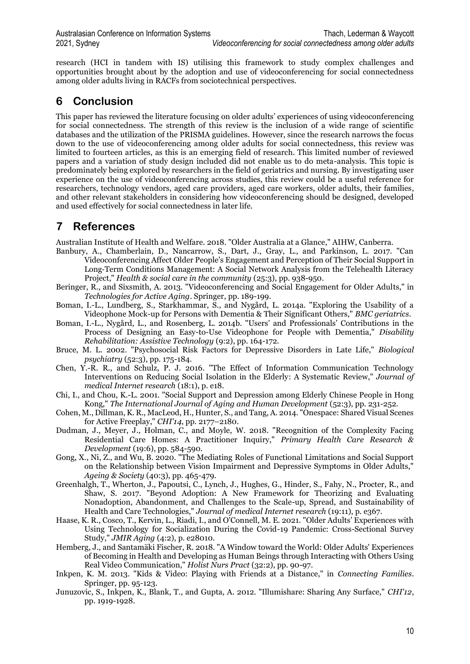research (HCI in tandem with IS) utilising this framework to study complex challenges and opportunities brought about by the adoption and use of videoconferencing for social connectedness among older adults living in RACFs from sociotechnical perspectives.

# **6 Conclusion**

This paper has reviewed the literature focusing on older adults' experiences of using videoconferencing for social connectedness. The strength of this review is the inclusion of a wide range of scientific databases and the utilization of the PRISMA guidelines. However, since the research narrows the focus down to the use of videoconferencing among older adults for social connectedness, this review was limited to fourteen articles, as this is an emerging field of research. This limited number of reviewed papers and a variation of study design included did not enable us to do meta-analysis. This topic is predominately being explored by researchers in the field of geriatrics and nursing. By investigating user experience on the use of videoconferencing across studies, this review could be a useful reference for researchers, technology vendors, aged care providers, aged care workers, older adults, their families, and other relevant stakeholders in considering how videoconferencing should be designed, developed and used effectively for social connectedness in later life.

# **7 References**

Australian Institute of Health and Welfare. 2018. "Older Australia at a Glance," AIHW, Canberra.

- Banbury, A., Chamberlain, D., Nancarrow, S., Dart, J., Gray, L., and Parkinson, L. 2017. "Can Videoconferencing Affect Older People's Engagement and Perception of Their Social Support in Long‐Term Conditions Management: A Social Network Analysis from the Telehealth Literacy Project," *Health & social care in the community* (25:3), pp. 938-950.
- Beringer, R., and Sixsmith, A. 2013. "Videoconferencing and Social Engagement for Older Adults," in *Technologies for Active Aging*. Springer, pp. 189-199.
- Boman, I.-L., Lundberg, S., Starkhammar, S., and Nygård, L. 2014a. "Exploring the Usability of a Videophone Mock-up for Persons with Dementia & Their Significant Others," *BMC geriatrics*.
- Boman, I.-L., Nygård, L., and Rosenberg, L. 2014b. "Users' and Professionals' Contributions in the Process of Designing an Easy-to-Use Videophone for People with Dementia," *Disability Rehabilitation: Assistive Technology* (9:2), pp. 164-172.
- Bruce, M. L. 2002. "Psychosocial Risk Factors for Depressive Disorders in Late Life," *Biological psychiatry* (52:3), pp. 175-184.
- Chen, Y.-R. R., and Schulz, P. J. 2016. "The Effect of Information Communication Technology Interventions on Reducing Social Isolation in the Elderly: A Systematic Review," *Journal of medical Internet research* (18:1), p. e18.
- Chi, I., and Chou, K.-L. 2001. "Social Support and Depression among Elderly Chinese People in Hong Kong," *The International Journal of Aging and Human Development* (52:3), pp. 231-252.
- Cohen, M., Dillman, K. R., MacLeod, H., Hunter, S., and Tang, A. 2014. "Onespace: Shared Visual Scenes for Active Freeplay," *CHI'14*, pp. 2177–2180.
- Dudman, J., Meyer, J., Holman, C., and Moyle, W. 2018. "Recognition of the Complexity Facing Residential Care Homes: A Practitioner Inquiry," *Primary Health Care Research & Development* (19:6), pp. 584-590.
- Gong, X., Ni, Z., and Wu, B. 2020. "The Mediating Roles of Functional Limitations and Social Support on the Relationship between Vision Impairment and Depressive Symptoms in Older Adults," *Ageing & Society* (40:3), pp. 465-479.
- Greenhalgh, T., Wherton, J., Papoutsi, C., Lynch, J., Hughes, G., Hinder, S., Fahy, N., Procter, R., and Shaw, S. 2017. "Beyond Adoption: A New Framework for Theorizing and Evaluating Nonadoption, Abandonment, and Challenges to the Scale-up, Spread, and Sustainability of Health and Care Technologies," *Journal of medical Internet research* (19:11), p. e367.
- Haase, K. R., Cosco, T., Kervin, L., Riadi, I., and O'Connell, M. E. 2021. "Older Adults' Experiences with Using Technology for Socialization During the Covid-19 Pandemic: Cross-Sectional Survey Study," *JMIR Aging* (4:2), p. e28010.
- Hemberg, J., and Santamäki Fischer, R. 2018. "A Window toward the World: Older Adults' Experiences of Becoming in Health and Developing as Human Beings through Interacting with Others Using Real Video Communication," *Holist Nurs Pract* (32:2), pp. 90-97.
- Inkpen, K. M. 2013. "Kids & Video: Playing with Friends at a Distance," in *Connecting Families*. Springer, pp. 95-123.
- Junuzovic, S., Inkpen, K., Blank, T., and Gupta, A. 2012. "Illumishare: Sharing Any Surface," *CHI'12*, pp. 1919-1928.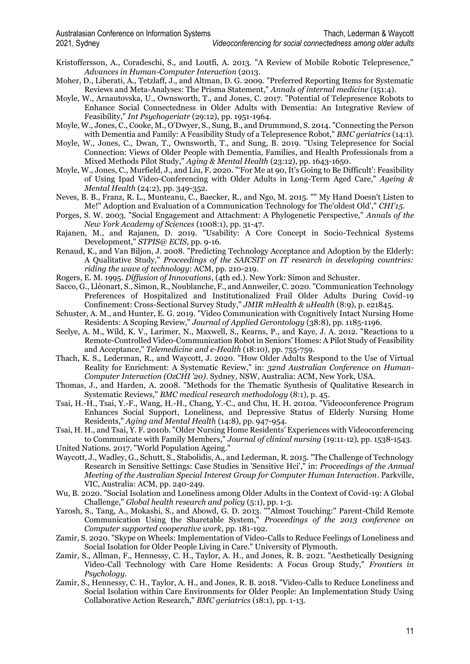Kristoffersson, A., Coradeschi, S., and Loutfi, A. 2013. "A Review of Mobile Robotic Telepresence," *Advances in Human-Computer Interaction* (2013.

- Moher, D., Liberati, A., Tetzlaff, J., and Altman, D. G. 2009. "Preferred Reporting Items for Systematic Reviews and Meta-Analyses: The Prisma Statement," *Annals of internal medicine* (151:4).
- Moyle, W., Arnautovska, U., Ownsworth, T., and Jones, C. 2017. "Potential of Telepresence Robots to Enhance Social Connectedness in Older Adults with Dementia: An Integrative Review of Feasibility," *Int Psychogeriatr* (29:12), pp. 1951-1964.
- Moyle, W., Jones, C., Cooke, M., O'Dwyer, S., Sung, B., and Drummond, S. 2014. "Connecting the Person with Dementia and Family: A Feasibility Study of a Telepresence Robot," *BMC geriatrics* (14:1).
- Moyle, W., Jones, C., Dwan, T., Ownsworth, T., and Sung, B. 2019. "Using Telepresence for Social Connection: Views of Older People with Dementia, Families, and Health Professionals from a Mixed Methods Pilot Study," *Aging & Mental Health* (23:12), pp. 1643-1650.
- Moyle, W., Jones, C., Murfield, J., and Liu, F. 2020. "'For Me at 90, It's Going to Be Difficult': Feasibility of Using Ipad Video-Conferencing with Older Adults in Long-Term Aged Care," *Ageing & Mental Health* (24:2), pp. 349-352.
- Neves, B. B., Franz, R. L., Munteanu, C., Baecker, R., and Ngo, M. 2015. "" My Hand Doesn't Listen to Me!" Adoption and Evaluation of a Communication Technology for The'oldest Old'," *CHI'15*.
- Porges, S. W. 2003. "Social Engagement and Attachment: A Phylogenetic Perspective," *Annals of the New York Academy of Sciences* (1008:1), pp. 31-47.
- Rajanen, M., and Rajanen, D. 2019. "Usability: A Core Concept in Socio-Technical Systems Development," *STPIS@ ECIS*, pp. 9-16.
- Renaud, K., and Van Biljon, J. 2008. "Predicting Technology Acceptance and Adoption by the Elderly: A Qualitative Study," *Proceedings of the SAICSIT on IT research in developing countries: riding the wave of technology*: ACM, pp. 210-219.
- Rogers, E. M. 1995. *Diffusion of Innovations*, (4th ed.). New York: Simon and Schuster.
- Sacco, G., Lléonart, S., Simon, R., Noublanche, F., and Annweiler, C. 2020. "Communication Technology Preferences of Hospitalized and Institutionalized Frail Older Adults During Covid-19 Confinement: Cross-Sectional Survey Study," *JMIR mHealth & uHealth* (8:9), p. e21845.
- Schuster, A. M., and Hunter, E. G. 2019. "Video Communication with Cognitively Intact Nursing Home Residents: A Scoping Review," *Journal of Applied Gerontology* (38:8), pp. 1185-1196.
- Seelye, A. M., Wild, K. V., Larimer, N., Maxwell, S., Kearns, P., and Kaye, J. A. 2012. "Reactions to a Remote-Controlled Video-Communication Robot in Seniors' Homes: A Pilot Study of Feasibility and Acceptance," *Telemedicine and e-Health* (18:10), pp. 755-759.
- Thach, K. S., Lederman, R., and Waycott, J. 2020. "How Older Adults Respond to the Use of Virtual Reality for Enrichment: A Systematic Review," in: *32nd Australian Conference on Human-Computer Interaction (OzCHI '20)*. Sydney, NSW, Australia: ACM, New York, USA.
- Thomas, J., and Harden, A. 2008. "Methods for the Thematic Synthesis of Qualitative Research in Systematic Reviews," *BMC medical research methodology* (8:1), p. 45.
- Tsai, H.-H., Tsai, Y.-F., Wang, H.-H., Chang, Y.-C., and Chu, H. H. 2010a. "Videoconference Program Enhances Social Support, Loneliness, and Depressive Status of Elderly Nursing Home Residents," *Aging and Mental Health* (14:8), pp. 947-954.
- Tsai, H. H., and Tsai, Y. F. 2010b. "Older Nursing Home Residents' Experiences with Videoconferencing to Communicate with Family Members," *Journal of clinical nursing* (19:11‐12), pp. 1538-1543. United Nations. 2017. "World Population Ageing."
- 
- Waycott, J., Wadley, G., Schutt, S., Stabolidis, A., and Lederman, R. 2015. "The Challenge of Technology Research in Sensitive Settings: Case Studies in 'Sensitive Hci'," in: *Proceedings of the Annual Meeting of the Australian Special Interest Group for Computer Human Interaction*. Parkville, VIC, Australia: ACM, pp. 240-249.
- Wu, B. 2020. "Social Isolation and Loneliness among Older Adults in the Context of Covid-19: A Global Challenge," *Global health research and policy* (5:1), pp. 1-3.
- Yarosh, S., Tang, A., Mokashi, S., and Abowd, G. D. 2013. ""Almost Touching:" Parent-Child Remote Communication Using the Sharetable System," *Proceedings of the 2013 conference on Computer supported cooperative work*, pp. 181-192.
- Zamir, S. 2020. "Skype on Wheels: Implementation of Video-Calls to Reduce Feelings of Loneliness and Social Isolation for Older People Living in Care." University of Plymouth.
- Zamir, S., Allman, F., Hennessy, C. H., Taylor, A. H., and Jones, R. B. 2021. "Aesthetically Designing Video-Call Technology with Care Home Residents: A Focus Group Study," *Frontiers in Psychology*.
- Zamir, S., Hennessy, C. H., Taylor, A. H., and Jones, R. B. 2018. "Video-Calls to Reduce Loneliness and Social Isolation within Care Environments for Older People: An Implementation Study Using Collaborative Action Research," *BMC geriatrics* (18:1), pp. 1-13.